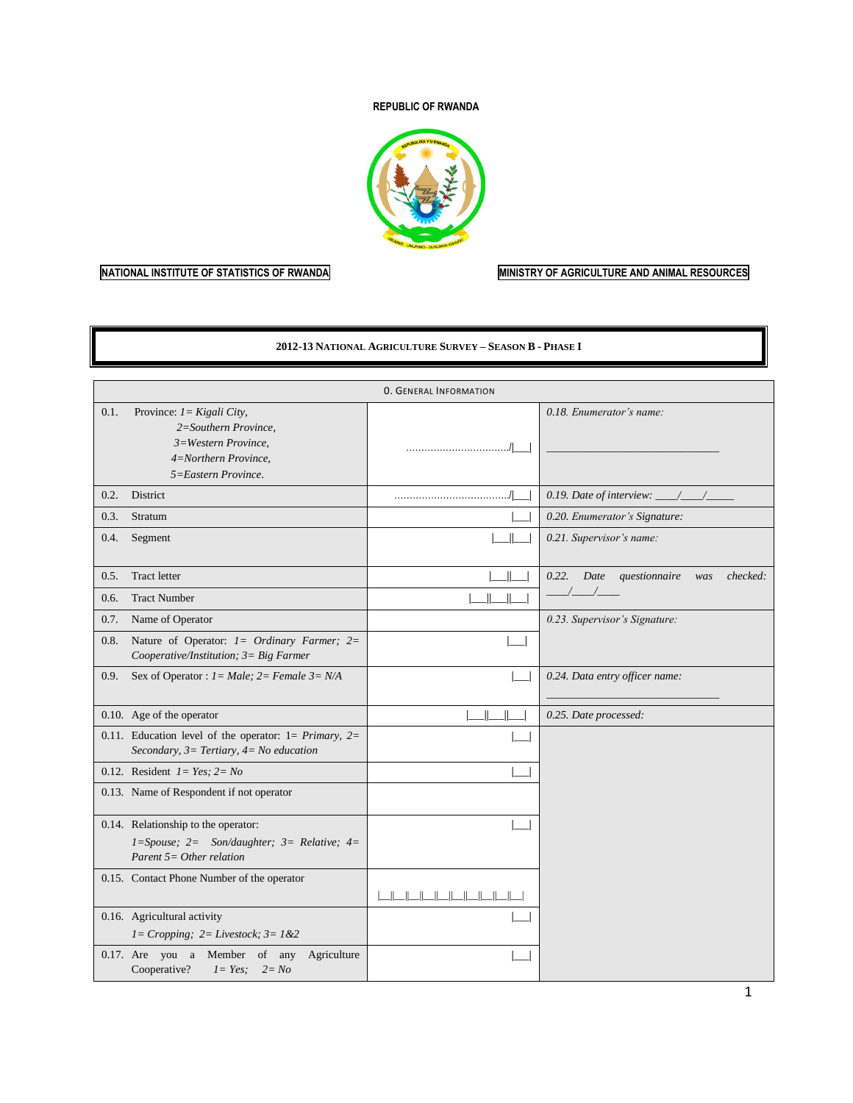### **REPUBLIC OF RWANDA**



## **NATIONAL INSTITUTE OF STATISTICS OF RWANDA MINISTRY OF AGRICULTURE AND ANIMAL RESOURCES**

#### **2012-13 NATIONAL AGRICULTURE SURVEY – SEASON B - PHASE I**

|      |                                                                                                                             | <b>0. GENERAL INFORMATION</b> |                                                   |
|------|-----------------------------------------------------------------------------------------------------------------------------|-------------------------------|---------------------------------------------------|
| 0.1. | Province: $1 = Kigali City$ ,<br>2=Southern Province,<br>3=Western Province,<br>4=Northern Province,<br>5=Eastern Province. |                               | 0.18. Enumerator's name:                          |
| 0.2. | District                                                                                                                    |                               | 0.19. Date of interview: $\frac{\ }{\ }$          |
| 0.3. | Stratum                                                                                                                     |                               | 0.20. Enumerator's Signature:                     |
| 0.4. | Segment                                                                                                                     |                               | 0.21. Supervisor's name:                          |
| 0.5. | <b>Tract letter</b>                                                                                                         |                               | checked:<br>0.22.<br>Date<br>questionnaire<br>was |
| 0.6. | <b>Tract Number</b>                                                                                                         |                               |                                                   |
| 0.7. | Name of Operator                                                                                                            |                               | 0.23. Supervisor's Signature:                     |
| 0.8. | Nature of Operator: $l = \text{Ordinary}$ Farmer; $2 =$<br>Cooperative/Institution; 3= Big Farmer                           |                               |                                                   |
| 0.9. | Sex of Operator : $1 = Male$ ; $2 = Female$ $3 = N/A$                                                                       |                               | 0.24. Data entry officer name:                    |
|      | 0.10. Age of the operator                                                                                                   | $\mathsf{I}$                  | 0.25. Date processed:                             |
|      | 0.11. Education level of the operator: $1 = Primary$ , $2=$<br>Secondary, $3=$ Tertiary, $4=$ No education                  |                               |                                                   |
|      | 0.12. Resident $I = Yes$ ; $2 = No$                                                                                         |                               |                                                   |
|      | 0.13. Name of Respondent if not operator                                                                                    |                               |                                                   |
|      | 0.14. Relationship to the operator:<br>$1 = Spouse; 2 = Son/day$ hter; 3 = Relative; 4 =<br>Parent $5=Other$ relation       |                               |                                                   |
|      | 0.15. Contact Phone Number of the operator                                                                                  | والمسالمسالمسالمسالمسالم      |                                                   |
|      | 0.16. Agricultural activity<br>$1 = Cropping$ ; $2 = Lives tock$ ; $3 = 1 & 2$                                              |                               |                                                   |
|      | 0.17. Are you a Member of any<br>Agriculture<br>Cooperative?<br>$1 = Yes;$ $2 = No$                                         |                               |                                                   |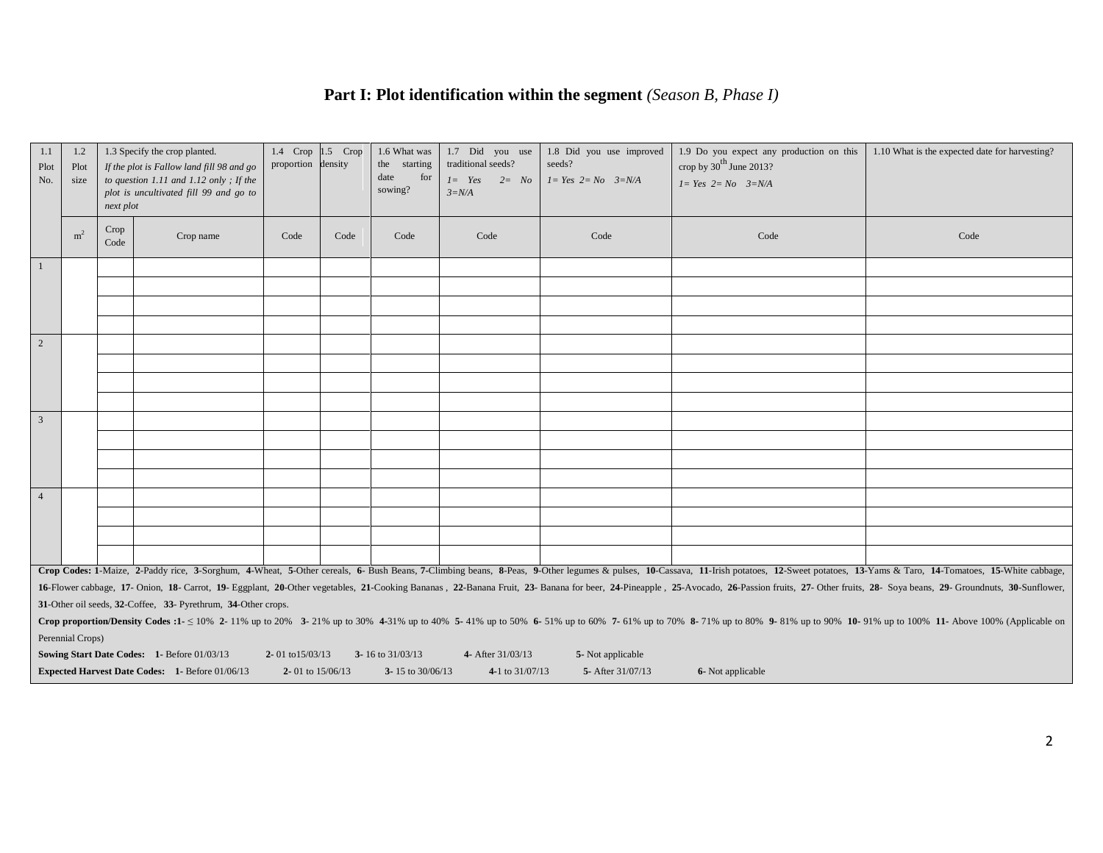# **Part I: Plot identification within the segment** *(Season B, Phase I)*

| 1.1<br>Plot<br>No. | 1.2<br>Plot<br>size | next plot    | 1.3 Specify the crop planted.<br>If the plot is Fallow land fill 98 and go<br>to question 1.11 and 1.12 only; If the<br>plot is uncultivated fill 99 and go to | 1.4 Crop 1.5 Crop<br>proportion density |      | 1.6 What was<br>the starting<br>date<br>for<br>sowing? | 1.7 Did you use<br>traditional seeds?<br>$I = Yes$ $2 = No$<br>$3=N/A$ | 1.8 Did you use improved<br>seeds?<br>$I = Yes$ $2 = No$ $3=N/A$ | 1.9 Do you expect any production on this<br>crop by $30^{\text{th}}$ June 2013?<br>$I = Yes$ $2 = No$ $3=N/A$ | 1.10 What is the expected date for harvesting?                                                                                                                                                                                 |
|--------------------|---------------------|--------------|----------------------------------------------------------------------------------------------------------------------------------------------------------------|-----------------------------------------|------|--------------------------------------------------------|------------------------------------------------------------------------|------------------------------------------------------------------|---------------------------------------------------------------------------------------------------------------|--------------------------------------------------------------------------------------------------------------------------------------------------------------------------------------------------------------------------------|
|                    | m <sup>2</sup>      | Crop<br>Code | Crop name                                                                                                                                                      | Code                                    | Code | Code                                                   | Code                                                                   | Code                                                             | Code                                                                                                          | Code                                                                                                                                                                                                                           |
| $\mathbf{1}$       |                     |              |                                                                                                                                                                |                                         |      |                                                        |                                                                        |                                                                  |                                                                                                               |                                                                                                                                                                                                                                |
|                    |                     |              |                                                                                                                                                                |                                         |      |                                                        |                                                                        |                                                                  |                                                                                                               |                                                                                                                                                                                                                                |
|                    |                     |              |                                                                                                                                                                |                                         |      |                                                        |                                                                        |                                                                  |                                                                                                               |                                                                                                                                                                                                                                |
|                    |                     |              |                                                                                                                                                                |                                         |      |                                                        |                                                                        |                                                                  |                                                                                                               |                                                                                                                                                                                                                                |
| $\overline{2}$     |                     |              |                                                                                                                                                                |                                         |      |                                                        |                                                                        |                                                                  |                                                                                                               |                                                                                                                                                                                                                                |
|                    |                     |              |                                                                                                                                                                |                                         |      |                                                        |                                                                        |                                                                  |                                                                                                               |                                                                                                                                                                                                                                |
|                    |                     |              |                                                                                                                                                                |                                         |      |                                                        |                                                                        |                                                                  |                                                                                                               |                                                                                                                                                                                                                                |
|                    |                     |              |                                                                                                                                                                |                                         |      |                                                        |                                                                        |                                                                  |                                                                                                               |                                                                                                                                                                                                                                |
| 3                  |                     |              |                                                                                                                                                                |                                         |      |                                                        |                                                                        |                                                                  |                                                                                                               |                                                                                                                                                                                                                                |
|                    |                     |              |                                                                                                                                                                |                                         |      |                                                        |                                                                        |                                                                  |                                                                                                               |                                                                                                                                                                                                                                |
|                    |                     |              |                                                                                                                                                                |                                         |      |                                                        |                                                                        |                                                                  |                                                                                                               |                                                                                                                                                                                                                                |
|                    |                     |              |                                                                                                                                                                |                                         |      |                                                        |                                                                        |                                                                  |                                                                                                               |                                                                                                                                                                                                                                |
| $\overline{4}$     |                     |              |                                                                                                                                                                |                                         |      |                                                        |                                                                        |                                                                  |                                                                                                               |                                                                                                                                                                                                                                |
|                    |                     |              |                                                                                                                                                                |                                         |      |                                                        |                                                                        |                                                                  |                                                                                                               |                                                                                                                                                                                                                                |
|                    |                     |              |                                                                                                                                                                |                                         |      |                                                        |                                                                        |                                                                  |                                                                                                               |                                                                                                                                                                                                                                |
|                    |                     |              |                                                                                                                                                                |                                         |      |                                                        |                                                                        |                                                                  |                                                                                                               |                                                                                                                                                                                                                                |
|                    |                     |              |                                                                                                                                                                |                                         |      |                                                        |                                                                        |                                                                  |                                                                                                               | Crop Codes: 1-Maize, 2-Paddy rice, 3-Sorghum, 4-Wheat, 5-Other cereals, 6- Bush Beans, 7-Climbing beans, 8-Peas, 9-Other legumes & pulses, 10-Cassava, 11-Irish potatoes, 12-Sweet potatoes, 13-Yams & Taro, 14-Tomatoes, 15-W |
|                    |                     |              |                                                                                                                                                                |                                         |      |                                                        |                                                                        |                                                                  |                                                                                                               | 16-Flower cabbage, 17- Onion, 18- Carrot, 19- Eggplant, 20-Other vegetables, 21-Cooking Bananas, 22-Banana Fruit, 23- Banana for beer, 24-Pineapple, 25-Avocado, 26-Passion fruits, 27- Other fruits, 28- Soya beans, 29- Grou |
|                    |                     |              | 31-Other oil seeds, 32-Coffee, 33- Pyrethrum, 34-Other crops.                                                                                                  |                                         |      |                                                        |                                                                        |                                                                  |                                                                                                               | Crop proportion/Density Codes :1- < 10% 2-11% up to 20% 3-21% up to 30% 4-31% up to 40% 5-41% up to 50% 6-51% up to 60% 7-61% up to 70% 8-71% up to 80% 9-81% up to 90% 10-91% up to 100% 11- Above 100% (Applicable on        |
|                    | Perennial Crops)    |              |                                                                                                                                                                |                                         |      |                                                        |                                                                        |                                                                  |                                                                                                               |                                                                                                                                                                                                                                |
|                    |                     |              | Sowing Start Date Codes: 1- Before 01/03/13                                                                                                                    | 2-01 to $15/03/13$                      |      | 3-16 to $31/03/13$                                     | 4- After 31/03/13                                                      | 5- Not applicable                                                |                                                                                                               |                                                                                                                                                                                                                                |
|                    |                     |              | Expected Harvest Date Codes: 1- Before 01/06/13                                                                                                                | 2-01 to $15/06/13$                      |      | 3-15 to 30/06/13                                       | 4-1 to $31/07/13$                                                      | 5- After 31/07/13                                                | 6- Not applicable                                                                                             |                                                                                                                                                                                                                                |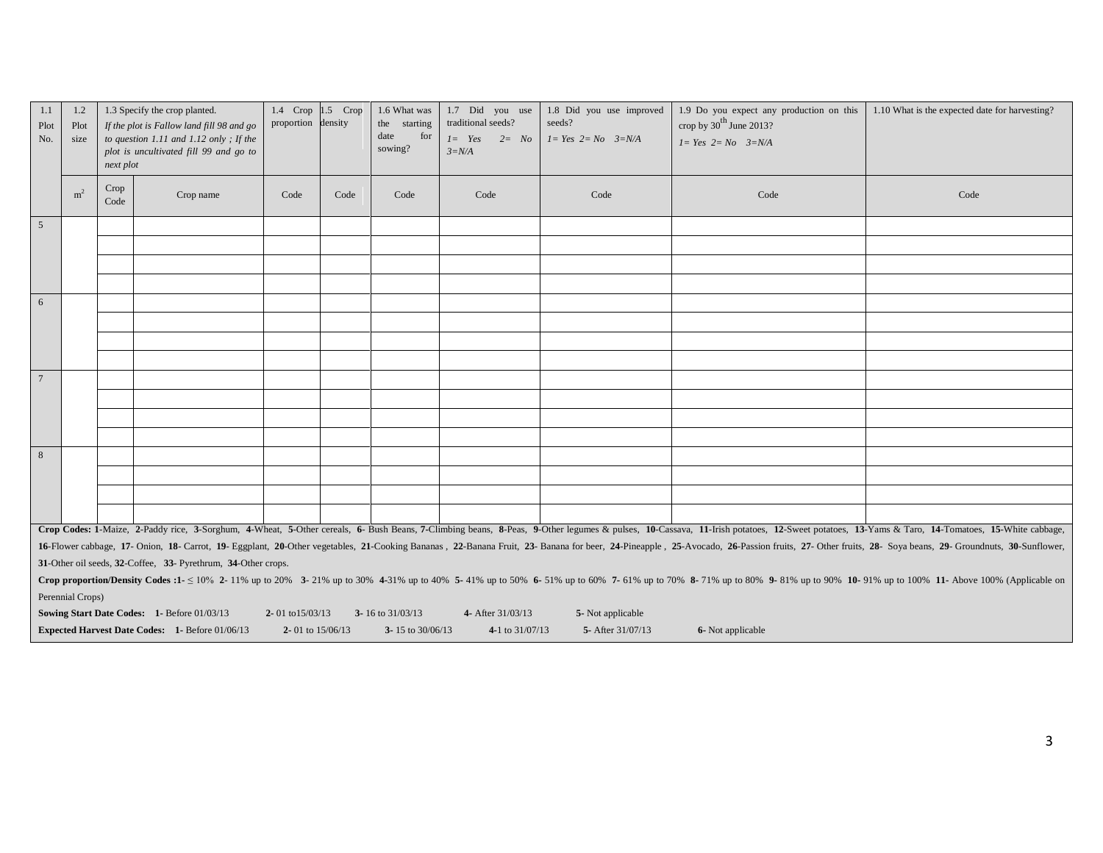| 1.1<br>Plot<br>No. | 1.2<br>Plot<br>size | next plot    | 1.3 Specify the crop planted.<br>If the plot is Fallow land fill 98 and go<br>to question 1.11 and 1.12 only; If the<br>plot is uncultivated fill 99 and go to | 1.4 $Crop$ 1.5 $Crop$<br>proportion density |      | 1.6 What was<br>the starting<br>date<br>for<br>sowing? | 1.7 Did you use<br>traditional seeds?<br>$1 = Yes$<br>$2 = No$<br>$3=N/A$ | 1.8 Did you use improved<br>seeds?<br>$I = Yes$ $2 = No$ $3=N/A$ | 1.9 Do you expect any production on this<br>crop by $30^{\text{th}}$ June 2013?<br>$I = Yes$ $2 = No$ $3=N/A$ | 1.10 What is the expected date for harvesting?                                                                                                                                                                                                                                                                                                                                                                                                                   |
|--------------------|---------------------|--------------|----------------------------------------------------------------------------------------------------------------------------------------------------------------|---------------------------------------------|------|--------------------------------------------------------|---------------------------------------------------------------------------|------------------------------------------------------------------|---------------------------------------------------------------------------------------------------------------|------------------------------------------------------------------------------------------------------------------------------------------------------------------------------------------------------------------------------------------------------------------------------------------------------------------------------------------------------------------------------------------------------------------------------------------------------------------|
|                    | m <sup>2</sup>      | Crop<br>Code | Crop name                                                                                                                                                      | Code                                        | Code | Code                                                   | Code                                                                      | Code                                                             | Code                                                                                                          | Code                                                                                                                                                                                                                                                                                                                                                                                                                                                             |
| $5\overline{5}$    |                     |              |                                                                                                                                                                |                                             |      |                                                        |                                                                           |                                                                  |                                                                                                               |                                                                                                                                                                                                                                                                                                                                                                                                                                                                  |
|                    |                     |              |                                                                                                                                                                |                                             |      |                                                        |                                                                           |                                                                  |                                                                                                               |                                                                                                                                                                                                                                                                                                                                                                                                                                                                  |
|                    |                     |              |                                                                                                                                                                |                                             |      |                                                        |                                                                           |                                                                  |                                                                                                               |                                                                                                                                                                                                                                                                                                                                                                                                                                                                  |
|                    |                     |              |                                                                                                                                                                |                                             |      |                                                        |                                                                           |                                                                  |                                                                                                               |                                                                                                                                                                                                                                                                                                                                                                                                                                                                  |
| $6\overline{6}$    |                     |              |                                                                                                                                                                |                                             |      |                                                        |                                                                           |                                                                  |                                                                                                               |                                                                                                                                                                                                                                                                                                                                                                                                                                                                  |
|                    |                     |              |                                                                                                                                                                |                                             |      |                                                        |                                                                           |                                                                  |                                                                                                               |                                                                                                                                                                                                                                                                                                                                                                                                                                                                  |
|                    |                     |              |                                                                                                                                                                |                                             |      |                                                        |                                                                           |                                                                  |                                                                                                               |                                                                                                                                                                                                                                                                                                                                                                                                                                                                  |
|                    |                     |              |                                                                                                                                                                |                                             |      |                                                        |                                                                           |                                                                  |                                                                                                               |                                                                                                                                                                                                                                                                                                                                                                                                                                                                  |
| $\overline{7}$     |                     |              |                                                                                                                                                                |                                             |      |                                                        |                                                                           |                                                                  |                                                                                                               |                                                                                                                                                                                                                                                                                                                                                                                                                                                                  |
|                    |                     |              |                                                                                                                                                                |                                             |      |                                                        |                                                                           |                                                                  |                                                                                                               |                                                                                                                                                                                                                                                                                                                                                                                                                                                                  |
|                    |                     |              |                                                                                                                                                                |                                             |      |                                                        |                                                                           |                                                                  |                                                                                                               |                                                                                                                                                                                                                                                                                                                                                                                                                                                                  |
|                    |                     |              |                                                                                                                                                                |                                             |      |                                                        |                                                                           |                                                                  |                                                                                                               |                                                                                                                                                                                                                                                                                                                                                                                                                                                                  |
| 8                  |                     |              |                                                                                                                                                                |                                             |      |                                                        |                                                                           |                                                                  |                                                                                                               |                                                                                                                                                                                                                                                                                                                                                                                                                                                                  |
|                    |                     |              |                                                                                                                                                                |                                             |      |                                                        |                                                                           |                                                                  |                                                                                                               |                                                                                                                                                                                                                                                                                                                                                                                                                                                                  |
|                    |                     |              |                                                                                                                                                                |                                             |      |                                                        |                                                                           |                                                                  |                                                                                                               |                                                                                                                                                                                                                                                                                                                                                                                                                                                                  |
|                    |                     |              |                                                                                                                                                                |                                             |      |                                                        |                                                                           |                                                                  |                                                                                                               |                                                                                                                                                                                                                                                                                                                                                                                                                                                                  |
|                    |                     |              |                                                                                                                                                                |                                             |      |                                                        |                                                                           |                                                                  |                                                                                                               | Crop Codes: 1-Maize, 2-Paddy rice, 3-Sorghum, 4-Wheat, 5-Other cereals, 6- Bush Beans, 7-Climbing beans, 8-Peas, 9-Other legumes & pulses, 10-Cassava, 11-Irish potatoes, 12-Sweet potatoes, 13-Yams & Taro, 14-Tomatoes, 15-W<br>16-Flower cabbage, 17- Onion, 18- Carrot, 19- Eggplant, 20-Other vegetables, 21-Cooking Bananas, 22-Banana Fruit, 23- Banana for beer, 24-Pineapple, 25-Avocado, 26-Passion fruits, 27- Other fruits, 28- Soya beans, 29- Grou |
|                    |                     |              | 31-Other oil seeds, 32-Coffee, 33- Pyrethrum, 34-Other crops.                                                                                                  |                                             |      |                                                        |                                                                           |                                                                  |                                                                                                               |                                                                                                                                                                                                                                                                                                                                                                                                                                                                  |
|                    |                     |              |                                                                                                                                                                |                                             |      |                                                        |                                                                           |                                                                  |                                                                                                               | Crop proportion/Density Codes :1- $\leq 10\%$ 2- 11% up to 20% 3- 21% up to 30% 4-31% up to 40% 5- 41% up to 50% 6- 51% up to 60% 7- 61% up to 70% 8- 71% up to 80% 9- 81% up to 90% 10- 91% up to 100% 11- Above 100% (Applica                                                                                                                                                                                                                                  |
|                    | Perennial Crops)    |              |                                                                                                                                                                |                                             |      |                                                        |                                                                           |                                                                  |                                                                                                               |                                                                                                                                                                                                                                                                                                                                                                                                                                                                  |
|                    |                     |              | Sowing Start Date Codes: 1- Before 01/03/13                                                                                                                    | 2-01 to $15/03/13$                          |      | 3-16 to 31/03/13                                       | 4- After 31/03/13                                                         | 5-Not applicable                                                 |                                                                                                               |                                                                                                                                                                                                                                                                                                                                                                                                                                                                  |
|                    |                     |              | <b>Expected Harvest Date Codes: 1- Before 01/06/13</b>                                                                                                         | 2-01 to $15/06/13$                          |      | 3-15 to 30/06/13                                       | 4-1 to 31/07/13                                                           | 5- After 31/07/13                                                | 6- Not applicable                                                                                             |                                                                                                                                                                                                                                                                                                                                                                                                                                                                  |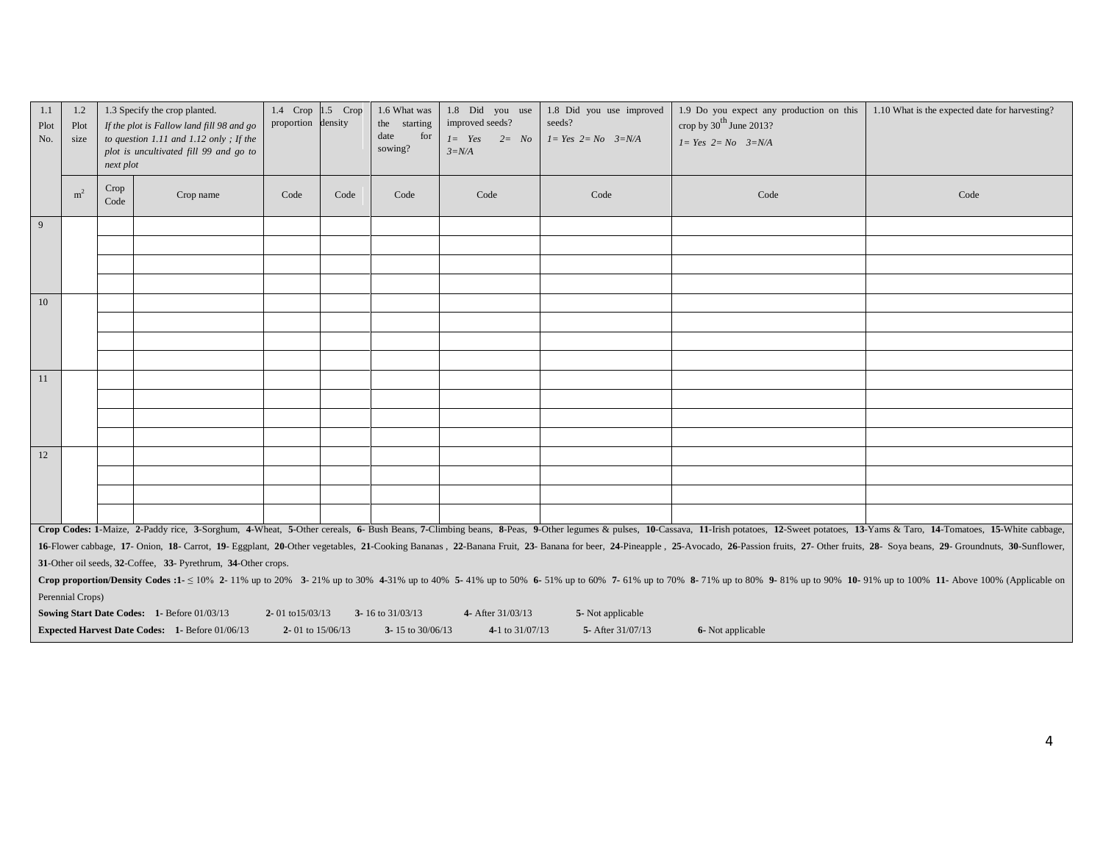| 1.1<br>Plot<br>No. | 1.2<br>Plot<br>size | next plot    | 1.3 Specify the crop planted.<br>If the plot is Fallow land fill 98 and go<br>to question 1.11 and 1.12 only; If the<br>plot is uncultivated fill 99 and go to | 1.4 Crop 1.5 Crop<br>proportion density |      | 1.6 What was<br>the starting<br>date<br>for<br>sowing? | 1.8 Did you use<br>improved seeds?<br>$1 = Yes$ $2 = No$<br>$3=N/A$ | 1.8 Did you use improved<br>seeds?<br>$I = Yes$ $2 = No$ $3=N/A$ | 1.9 Do you expect any production on this<br>crop by $30^{\text{th}}$ June 2013?<br>$I = Yes$ $2 = No$ $3=N/A$ | 1.10 What is the expected date for harvesting?                                                                                                                                                                                 |
|--------------------|---------------------|--------------|----------------------------------------------------------------------------------------------------------------------------------------------------------------|-----------------------------------------|------|--------------------------------------------------------|---------------------------------------------------------------------|------------------------------------------------------------------|---------------------------------------------------------------------------------------------------------------|--------------------------------------------------------------------------------------------------------------------------------------------------------------------------------------------------------------------------------|
|                    | m <sup>2</sup>      | Crop<br>Code | Crop name                                                                                                                                                      | Code                                    | Code | Code                                                   | Code                                                                | Code                                                             | Code                                                                                                          | Code                                                                                                                                                                                                                           |
| $\overline{9}$     |                     |              |                                                                                                                                                                |                                         |      |                                                        |                                                                     |                                                                  |                                                                                                               |                                                                                                                                                                                                                                |
|                    |                     |              |                                                                                                                                                                |                                         |      |                                                        |                                                                     |                                                                  |                                                                                                               |                                                                                                                                                                                                                                |
|                    |                     |              |                                                                                                                                                                |                                         |      |                                                        |                                                                     |                                                                  |                                                                                                               |                                                                                                                                                                                                                                |
|                    |                     |              |                                                                                                                                                                |                                         |      |                                                        |                                                                     |                                                                  |                                                                                                               |                                                                                                                                                                                                                                |
| 10                 |                     |              |                                                                                                                                                                |                                         |      |                                                        |                                                                     |                                                                  |                                                                                                               |                                                                                                                                                                                                                                |
|                    |                     |              |                                                                                                                                                                |                                         |      |                                                        |                                                                     |                                                                  |                                                                                                               |                                                                                                                                                                                                                                |
|                    |                     |              |                                                                                                                                                                |                                         |      |                                                        |                                                                     |                                                                  |                                                                                                               |                                                                                                                                                                                                                                |
|                    |                     |              |                                                                                                                                                                |                                         |      |                                                        |                                                                     |                                                                  |                                                                                                               |                                                                                                                                                                                                                                |
| 11                 |                     |              |                                                                                                                                                                |                                         |      |                                                        |                                                                     |                                                                  |                                                                                                               |                                                                                                                                                                                                                                |
|                    |                     |              |                                                                                                                                                                |                                         |      |                                                        |                                                                     |                                                                  |                                                                                                               |                                                                                                                                                                                                                                |
|                    |                     |              |                                                                                                                                                                |                                         |      |                                                        |                                                                     |                                                                  |                                                                                                               |                                                                                                                                                                                                                                |
| 12                 |                     |              |                                                                                                                                                                |                                         |      |                                                        |                                                                     |                                                                  |                                                                                                               |                                                                                                                                                                                                                                |
|                    |                     |              |                                                                                                                                                                |                                         |      |                                                        |                                                                     |                                                                  |                                                                                                               |                                                                                                                                                                                                                                |
|                    |                     |              |                                                                                                                                                                |                                         |      |                                                        |                                                                     |                                                                  |                                                                                                               |                                                                                                                                                                                                                                |
|                    |                     |              |                                                                                                                                                                |                                         |      |                                                        |                                                                     |                                                                  |                                                                                                               |                                                                                                                                                                                                                                |
|                    |                     |              |                                                                                                                                                                |                                         |      |                                                        |                                                                     |                                                                  |                                                                                                               | Crop Codes: 1-Maize, 2-Paddy rice, 3-Sorghum, 4-Wheat, 5-Other cereals, 6- Bush Beans, 7-Climbing beans, 8-Peas, 9-Other legumes & pulses, 10-Cassava, 11-Irish potatoes, 12-Sweet potatoes, 13-Yams & Taro, 14-Tomatoes, 15-W |
|                    |                     |              |                                                                                                                                                                |                                         |      |                                                        |                                                                     |                                                                  |                                                                                                               | 16-Flower cabbage, 17- Onion, 18- Carrot, 19- Eggplant, 20-Other vegetables, 21-Cooking Bananas, 22-Banana Fruit, 23- Banana for beer, 24-Pineapple, 25-Avocado, 26-Passion fruits, 27- Other fruits, 28- Soya beans, 29- Grou |
|                    |                     |              | 31-Other oil seeds, 32-Coffee, 33- Pyrethrum, 34-Other crops.                                                                                                  |                                         |      |                                                        |                                                                     |                                                                  |                                                                                                               |                                                                                                                                                                                                                                |
|                    |                     |              |                                                                                                                                                                |                                         |      |                                                        |                                                                     |                                                                  |                                                                                                               | Crop proportion/Density Codes :1- $\leq 10\%$ 2-11% up to 20% 3-21% up to 30% 4-31% up to 40% 5-41% up to 50% 6-51% up to 60% 7-61% up to 70% 8-71% up to 80% 9-81% up to 90% 10-91% up to 100% 11- Above 100% (Applicable on  |
|                    | Perennial Crops)    |              |                                                                                                                                                                |                                         |      |                                                        |                                                                     |                                                                  |                                                                                                               |                                                                                                                                                                                                                                |
|                    |                     |              | Sowing Start Date Codes: 1- Before 01/03/13                                                                                                                    | 2-01 to $15/03/13$                      |      | 3-16 to 31/03/13                                       | 4- After 31/03/13                                                   | 5-Not applicable                                                 |                                                                                                               |                                                                                                                                                                                                                                |
|                    |                     |              | <b>Expected Harvest Date Codes: 1- Before 01/06/13</b>                                                                                                         | 2-01 to $15/06/13$                      |      | 3-15 to 30/06/13                                       | 4-1 to 31/07/13                                                     | 5- After 31/07/13                                                | 6- Not applicable                                                                                             |                                                                                                                                                                                                                                |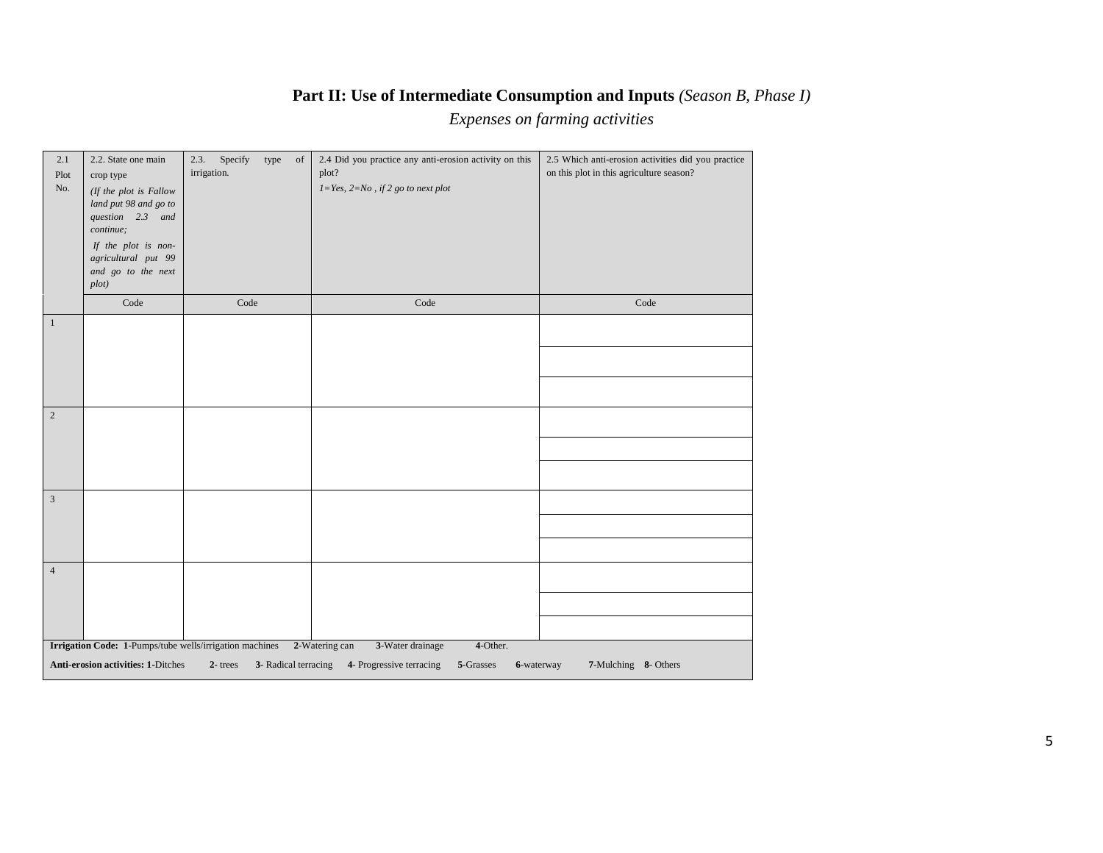## **Part II: Use of Intermediate Consumption and Inputs** *(Season B, Phase I)*

*Expenses on farming activities*

| 2.1<br>Plot<br>No. | 2.2. State one main<br>crop type<br>(If the plot is Fallow<br>land put 98 and go to<br>question 2.3 and<br>continue;<br>If the plot is non-<br>agricultural put 99<br>and go to the next<br>plot) | Specify<br>2.3.<br>type<br>of<br>irrigation. | 2.4 Did you practice any anti-erosion activity on this<br>plot?<br>$1\!=\!Yes,\,2\!=\!No$ , if 2 go to next plot | 2.5 Which anti-erosion activities did you practice<br>on this plot in this agriculture season? |
|--------------------|---------------------------------------------------------------------------------------------------------------------------------------------------------------------------------------------------|----------------------------------------------|------------------------------------------------------------------------------------------------------------------|------------------------------------------------------------------------------------------------|
|                    | Code                                                                                                                                                                                              | Code                                         | Code                                                                                                             | Code                                                                                           |
| $\mathbf{1}$       |                                                                                                                                                                                                   |                                              |                                                                                                                  |                                                                                                |
| 2                  |                                                                                                                                                                                                   |                                              |                                                                                                                  |                                                                                                |
| $\sqrt{3}$         |                                                                                                                                                                                                   |                                              |                                                                                                                  |                                                                                                |
| $\overline{4}$     |                                                                                                                                                                                                   |                                              |                                                                                                                  |                                                                                                |
|                    | Irrigation Code: 1-Pumps/tube wells/irrigation machines<br><b>Anti-erosion activities: 1-Ditches</b>                                                                                              | $2$ - trees<br>3- Radical terracing          | 4-Other.<br>2-Watering can<br>3-Water drainage<br>4- Progressive terracing<br>5-Grasses                          | 6-waterway<br>7-Mulching 8- Others                                                             |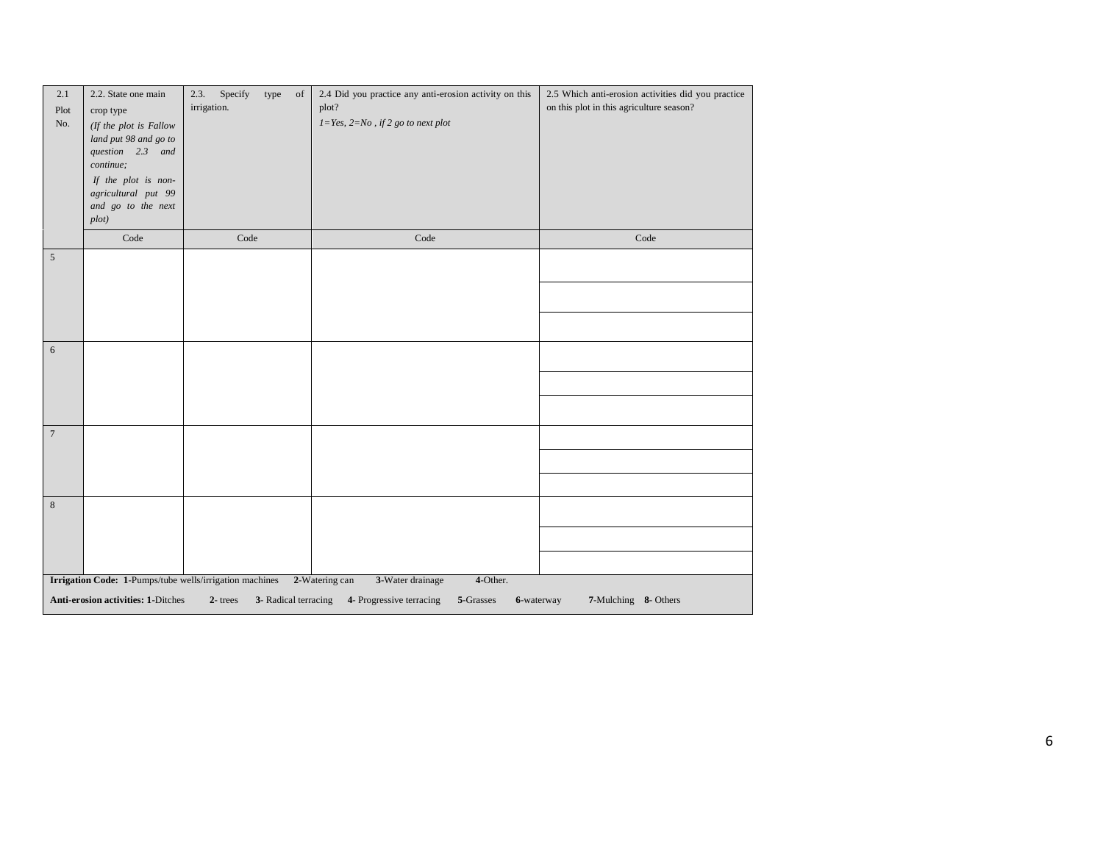| 2.1<br>Plot<br>No. | 2.2. State one main<br>crop type<br>(If the plot is Fallow<br>land put 98 and go to<br>question 2.3 and<br>continue;<br>If the plot is non-<br>agricultural put 99<br>and go to the next<br>plot) | Specify<br>2.3.<br>type<br>of<br>irrigation.            | 2.4 Did you practice any anti-erosion activity on this<br>plot?<br>$1 = Yes, 2 = No, if 2 go to next plot$ | 2.5 Which anti-erosion activities did you practice<br>on this plot in this agriculture season? |
|--------------------|---------------------------------------------------------------------------------------------------------------------------------------------------------------------------------------------------|---------------------------------------------------------|------------------------------------------------------------------------------------------------------------|------------------------------------------------------------------------------------------------|
|                    | Code                                                                                                                                                                                              | Code                                                    | Code                                                                                                       | Code                                                                                           |
| $\sqrt{5}$         |                                                                                                                                                                                                   |                                                         |                                                                                                            |                                                                                                |
|                    |                                                                                                                                                                                                   |                                                         |                                                                                                            |                                                                                                |
|                    |                                                                                                                                                                                                   |                                                         |                                                                                                            |                                                                                                |
| 6                  |                                                                                                                                                                                                   |                                                         |                                                                                                            |                                                                                                |
|                    |                                                                                                                                                                                                   |                                                         |                                                                                                            |                                                                                                |
|                    |                                                                                                                                                                                                   |                                                         |                                                                                                            |                                                                                                |
| $\boldsymbol{7}$   |                                                                                                                                                                                                   |                                                         |                                                                                                            |                                                                                                |
|                    |                                                                                                                                                                                                   |                                                         |                                                                                                            |                                                                                                |
|                    |                                                                                                                                                                                                   |                                                         |                                                                                                            |                                                                                                |
| $\,8\,$            |                                                                                                                                                                                                   |                                                         |                                                                                                            |                                                                                                |
|                    |                                                                                                                                                                                                   |                                                         |                                                                                                            |                                                                                                |
|                    |                                                                                                                                                                                                   |                                                         |                                                                                                            |                                                                                                |
|                    |                                                                                                                                                                                                   | Irrigation Code: 1-Pumps/tube wells/irrigation machines | 2-Watering can<br>3-Water drainage<br>4-Other.                                                             |                                                                                                |
|                    | Anti-erosion activities: 1-Ditches                                                                                                                                                                | $2$ -trees<br>3- Radical terracing                      | 4- Progressive terracing<br>5-Grasses                                                                      | 7-Mulching 8- Others<br>6-waterway                                                             |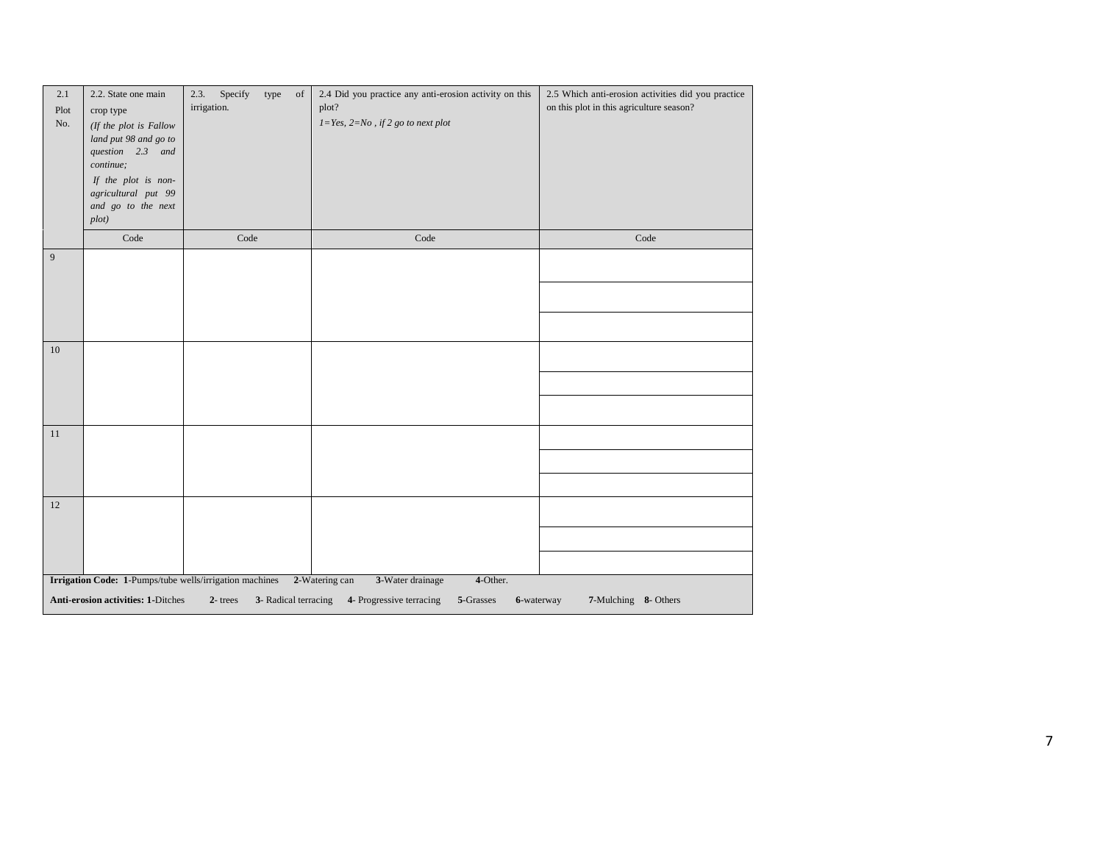| 2.1<br>Plot<br>No. | 2.2. State one main<br>crop type<br>(If the plot is Fallow<br>land put 98 and go to<br>question 2.3 and<br>continue;<br>If the plot is non-<br>agricultural put 99<br>and go to the next<br>plot) | Specify<br>2.3.<br>type<br>of<br>irrigation. | 2.4 Did you practice any anti-erosion activity on this<br>plot?<br>$1 = Yes, 2 = No, if 2 go to next plot$ | 2.5 Which anti-erosion activities did you practice<br>on this plot in this agriculture season? |
|--------------------|---------------------------------------------------------------------------------------------------------------------------------------------------------------------------------------------------|----------------------------------------------|------------------------------------------------------------------------------------------------------------|------------------------------------------------------------------------------------------------|
|                    | Code                                                                                                                                                                                              | Code                                         | Code                                                                                                       | Code                                                                                           |
| 9                  |                                                                                                                                                                                                   |                                              |                                                                                                            |                                                                                                |
|                    |                                                                                                                                                                                                   |                                              |                                                                                                            |                                                                                                |
|                    |                                                                                                                                                                                                   |                                              |                                                                                                            |                                                                                                |
| 10                 |                                                                                                                                                                                                   |                                              |                                                                                                            |                                                                                                |
|                    |                                                                                                                                                                                                   |                                              |                                                                                                            |                                                                                                |
|                    |                                                                                                                                                                                                   |                                              |                                                                                                            |                                                                                                |
| 11                 |                                                                                                                                                                                                   |                                              |                                                                                                            |                                                                                                |
|                    |                                                                                                                                                                                                   |                                              |                                                                                                            |                                                                                                |
|                    |                                                                                                                                                                                                   |                                              |                                                                                                            |                                                                                                |
| 12                 |                                                                                                                                                                                                   |                                              |                                                                                                            |                                                                                                |
|                    |                                                                                                                                                                                                   |                                              |                                                                                                            |                                                                                                |
|                    |                                                                                                                                                                                                   |                                              |                                                                                                            |                                                                                                |
|                    | Irrigation Code: 1-Pumps/tube wells/irrigation machines                                                                                                                                           |                                              | 2-Watering can<br>3-Water drainage<br>4-Other.                                                             |                                                                                                |
|                    | <b>Anti-erosion activities: 1-Ditches</b>                                                                                                                                                         | $2$ -trees<br>3- Radical terracing           | 4- Progressive terracing<br>5-Grasses                                                                      | 7-Mulching 8- Others<br>6-waterway                                                             |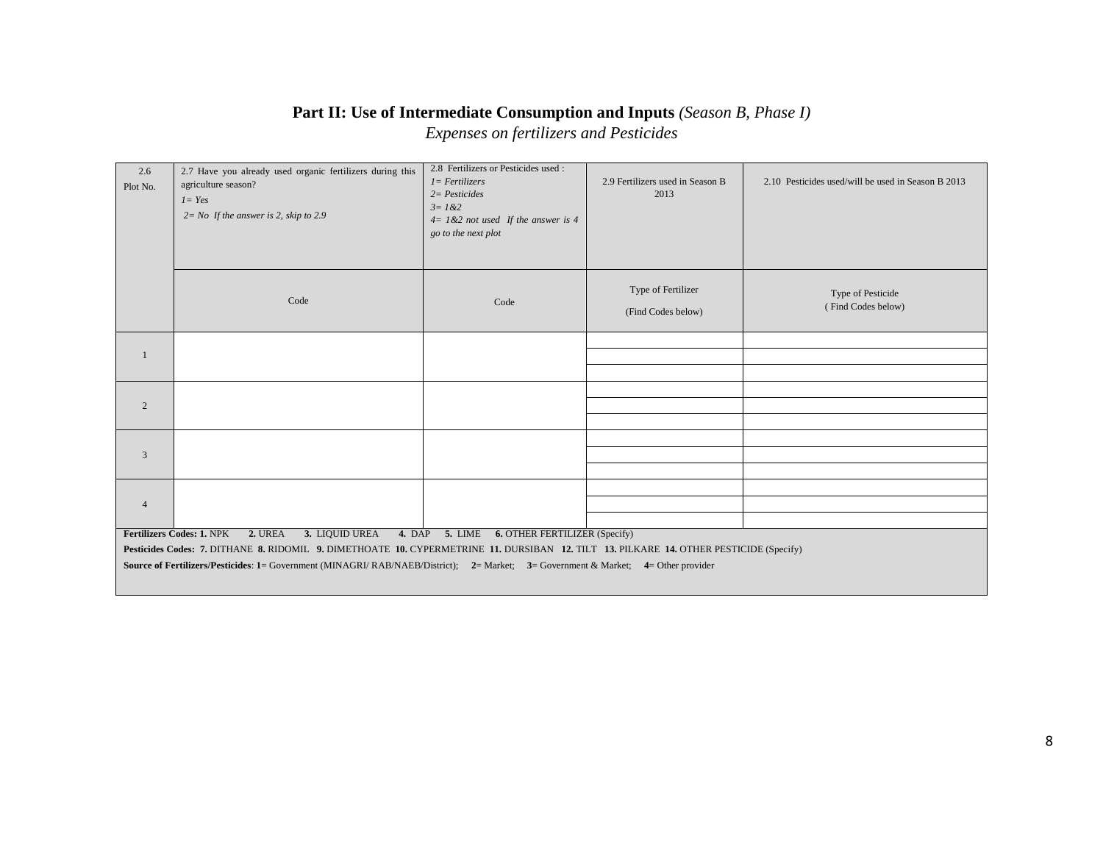# **Part II: Use of Intermediate Consumption and Inputs** *(Season B, Phase I)*

*Expenses on fertilizers and Pesticides*

| 2.6<br>Plot No. | 2.7 Have you already used organic fertilizers during this<br>agriculture season?<br>$1 = Yes$<br>$2 = No$ If the answer is 2, skip to 2.9 | 2.8 Fertilizers or Pesticides used :<br>$1 = Fertilizers$<br>$2 = Pesticides$<br>$3 = 1 & 2$<br>$4 = 1 & 2$ not used If the answer is 4<br>go to the next plot | 2.9 Fertilizers used in Season B<br>2013 | 2.10 Pesticides used/will be used in Season B 2013 |
|-----------------|-------------------------------------------------------------------------------------------------------------------------------------------|----------------------------------------------------------------------------------------------------------------------------------------------------------------|------------------------------------------|----------------------------------------------------|
|                 | Code                                                                                                                                      | Code                                                                                                                                                           | Type of Fertilizer<br>(Find Codes below) | Type of Pesticide<br>(Find Codes below)            |
|                 |                                                                                                                                           |                                                                                                                                                                |                                          |                                                    |
| -1              |                                                                                                                                           |                                                                                                                                                                |                                          |                                                    |
|                 |                                                                                                                                           |                                                                                                                                                                |                                          |                                                    |
| $\overline{c}$  |                                                                                                                                           |                                                                                                                                                                |                                          |                                                    |
|                 |                                                                                                                                           |                                                                                                                                                                |                                          |                                                    |
|                 |                                                                                                                                           |                                                                                                                                                                |                                          |                                                    |
| 3               |                                                                                                                                           |                                                                                                                                                                |                                          |                                                    |
|                 |                                                                                                                                           |                                                                                                                                                                |                                          |                                                    |
|                 |                                                                                                                                           |                                                                                                                                                                |                                          |                                                    |
| $\overline{4}$  |                                                                                                                                           |                                                                                                                                                                |                                          |                                                    |
|                 |                                                                                                                                           |                                                                                                                                                                |                                          |                                                    |
|                 | Fertilizers Codes: 1. NPK<br><b>2. UREA</b><br>3. LIQUID UREA                                                                             | 4. DAP 5. LIME 6. OTHER FERTILIZER (Specify)                                                                                                                   |                                          |                                                    |
|                 | Pesticides Codes: 7. DITHANE 8. RIDOMIL 9. DIMETHOATE 10. CYPERMETRINE 11. DURSIBAN 12. TILT 13. PILKARE 14. OTHER PESTICIDE (Specify)    |                                                                                                                                                                |                                          |                                                    |
|                 | Source of Fertilizers/Pesticides: 1= Government (MINAGRI/RAB/NAEB/District); 2= Market; 3= Government & Market; 4= Other provider         |                                                                                                                                                                |                                          |                                                    |
|                 |                                                                                                                                           |                                                                                                                                                                |                                          |                                                    |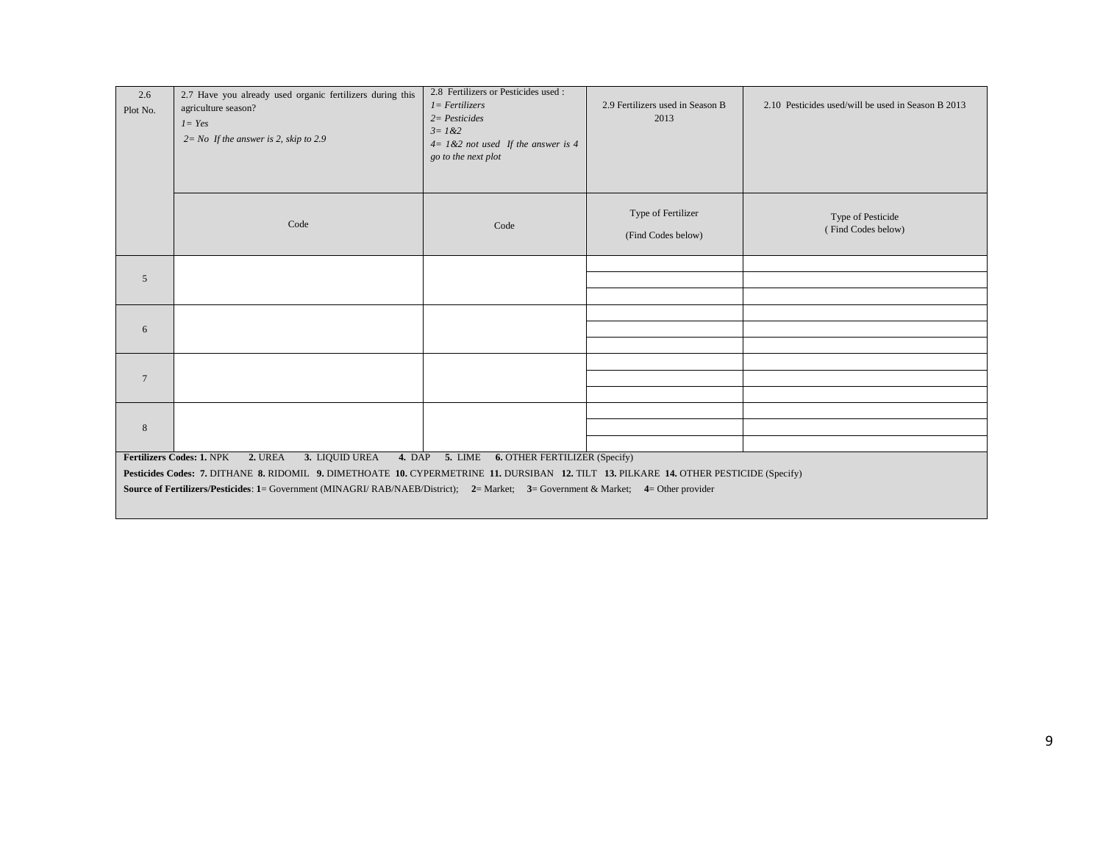| 2.6<br>Plot No. | 2.7 Have you already used organic fertilizers during this<br>agriculture season?<br>$1 = Yes$<br>$2 = No$ If the answer is 2, skip to 2.9                                                                                  | 2.8 Fertilizers or Pesticides used :<br>$I = Fertilizers$<br>$2 = Pesticides$<br>$3 = 1 & 2$<br>$4 = 1 & 2$ not used If the answer is 4<br>go to the next plot | 2.9 Fertilizers used in Season B<br>2013 | 2.10 Pesticides used/will be used in Season B 2013 |  |  |  |  |
|-----------------|----------------------------------------------------------------------------------------------------------------------------------------------------------------------------------------------------------------------------|----------------------------------------------------------------------------------------------------------------------------------------------------------------|------------------------------------------|----------------------------------------------------|--|--|--|--|
|                 | Code                                                                                                                                                                                                                       | Code                                                                                                                                                           | Type of Fertilizer<br>(Find Codes below) | Type of Pesticide<br>(Find Codes below)            |  |  |  |  |
| 5               |                                                                                                                                                                                                                            |                                                                                                                                                                |                                          |                                                    |  |  |  |  |
|                 |                                                                                                                                                                                                                            |                                                                                                                                                                |                                          |                                                    |  |  |  |  |
|                 |                                                                                                                                                                                                                            |                                                                                                                                                                |                                          |                                                    |  |  |  |  |
| 6               |                                                                                                                                                                                                                            |                                                                                                                                                                |                                          |                                                    |  |  |  |  |
|                 |                                                                                                                                                                                                                            |                                                                                                                                                                |                                          |                                                    |  |  |  |  |
| $7\phantom{.0}$ |                                                                                                                                                                                                                            |                                                                                                                                                                |                                          |                                                    |  |  |  |  |
|                 |                                                                                                                                                                                                                            |                                                                                                                                                                |                                          |                                                    |  |  |  |  |
|                 |                                                                                                                                                                                                                            |                                                                                                                                                                |                                          |                                                    |  |  |  |  |
| 8               |                                                                                                                                                                                                                            |                                                                                                                                                                |                                          |                                                    |  |  |  |  |
|                 | 2. UREA<br>3. LIQUID UREA                                                                                                                                                                                                  |                                                                                                                                                                |                                          |                                                    |  |  |  |  |
|                 | 4. DAP 5. LIME 6. OTHER FERTILIZER (Specify)<br><b>Fertilizers Codes: 1. NPK</b><br>Pesticides Codes: 7. DITHANE 8. RIDOMIL 9. DIMETHOATE 10. CYPERMETRINE 11. DURSIBAN 12. TILT 13. PILKARE 14. OTHER PESTICIDE (Specify) |                                                                                                                                                                |                                          |                                                    |  |  |  |  |
|                 |                                                                                                                                                                                                                            |                                                                                                                                                                |                                          |                                                    |  |  |  |  |
|                 | Source of Fertilizers/Pesticides: 1= Government (MINAGRI/ RAB/NAEB/District); 2= Market; 3= Government & Market; 4= Other provider                                                                                         |                                                                                                                                                                |                                          |                                                    |  |  |  |  |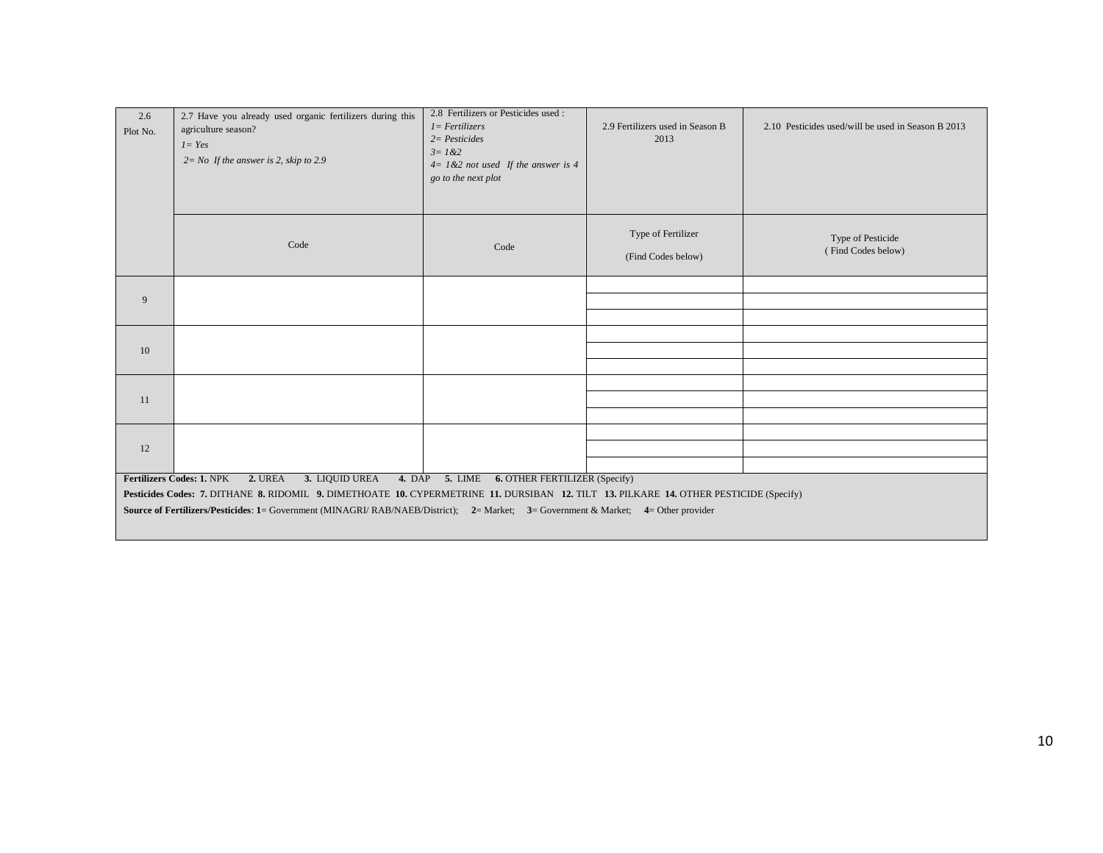| 2.6<br>Plot No. | 2.7 Have you already used organic fertilizers during this<br>agriculture season?<br>$1 = Yes$<br>$2 = No$ If the answer is 2, skip to 2.9 | 2.8 Fertilizers or Pesticides used :<br>$1 = Fertilizers$<br>$2 = Pesticides$<br>$3 = 1 & 2$<br>$4 = 1 & 2$ not used If the answer is 4<br>go to the next plot | 2.9 Fertilizers used in Season B<br>2013 | 2.10 Pesticides used/will be used in Season B 2013 |  |  |  |  |
|-----------------|-------------------------------------------------------------------------------------------------------------------------------------------|----------------------------------------------------------------------------------------------------------------------------------------------------------------|------------------------------------------|----------------------------------------------------|--|--|--|--|
|                 | Code                                                                                                                                      | Code                                                                                                                                                           | Type of Fertilizer<br>(Find Codes below) | Type of Pesticide<br>(Find Codes below)            |  |  |  |  |
| 9               |                                                                                                                                           |                                                                                                                                                                |                                          |                                                    |  |  |  |  |
|                 |                                                                                                                                           |                                                                                                                                                                |                                          |                                                    |  |  |  |  |
|                 |                                                                                                                                           |                                                                                                                                                                |                                          |                                                    |  |  |  |  |
| 10              |                                                                                                                                           |                                                                                                                                                                |                                          |                                                    |  |  |  |  |
|                 |                                                                                                                                           |                                                                                                                                                                |                                          |                                                    |  |  |  |  |
| 11              |                                                                                                                                           |                                                                                                                                                                |                                          |                                                    |  |  |  |  |
|                 |                                                                                                                                           |                                                                                                                                                                |                                          |                                                    |  |  |  |  |
|                 |                                                                                                                                           |                                                                                                                                                                |                                          |                                                    |  |  |  |  |
| 12              |                                                                                                                                           |                                                                                                                                                                |                                          |                                                    |  |  |  |  |
|                 | 3. LIQUID UREA<br><b>Fertilizers Codes: 1. NPK</b><br>2. UREA                                                                             | 4. DAP 5. LIME 6. OTHER FERTILIZER (Specify)                                                                                                                   |                                          |                                                    |  |  |  |  |
|                 | Pesticides Codes: 7. DITHANE 8. RIDOMIL 9. DIMETHOATE 10. CYPERMETRINE 11. DURSIBAN 12. TILT 13. PILKARE 14. OTHER PESTICIDE (Specify)    |                                                                                                                                                                |                                          |                                                    |  |  |  |  |
|                 | Source of Fertilizers/Pesticides: 1= Government (MINAGRI/ RAB/NAEB/District); 2= Market; 3= Government & Market; 4= Other provider        |                                                                                                                                                                |                                          |                                                    |  |  |  |  |
|                 |                                                                                                                                           |                                                                                                                                                                |                                          |                                                    |  |  |  |  |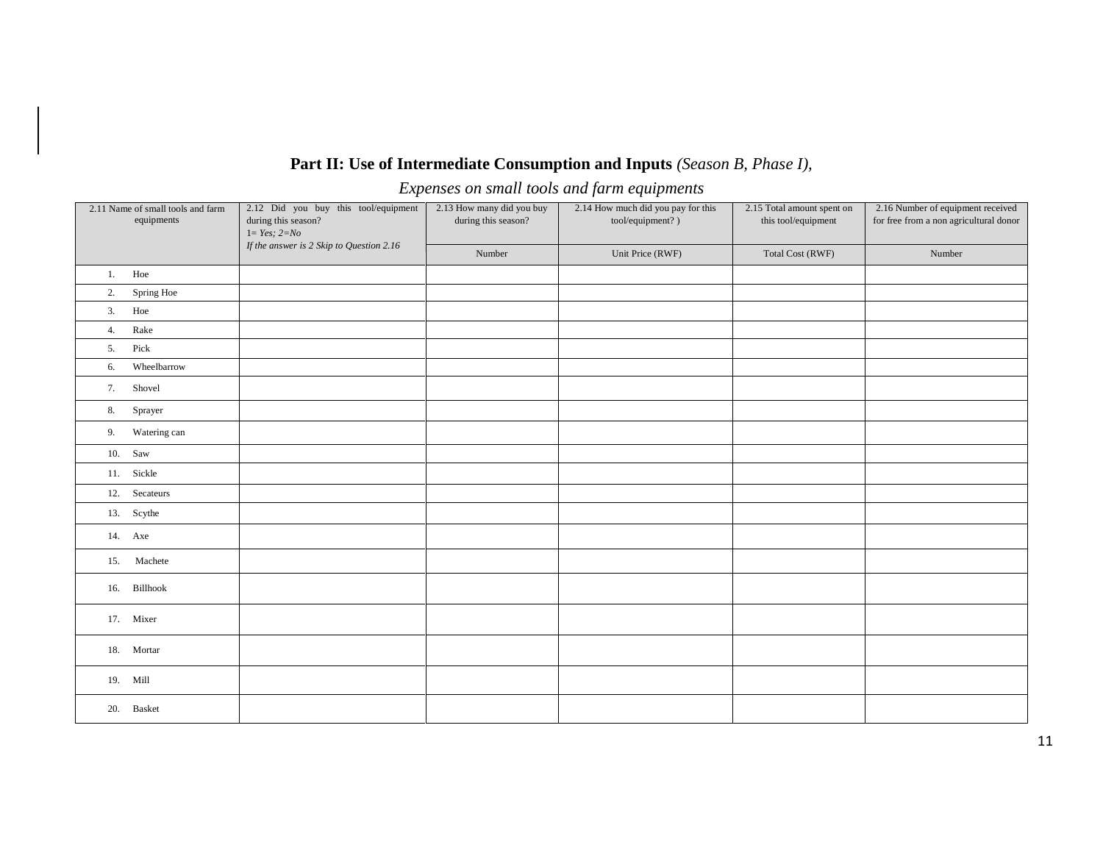## **Part II: Use of Intermediate Consumption and Inputs** *(Season B, Phase I),*

*Expenses on small tools and farm equipments*

| 2.11 Name of small tools and farm<br>equipments | 2.12 Did you buy this tool/equipment<br>during this season?<br>$1 = Yes; 2 = No$<br>If the answer is 2 Skip to Question 2.16 | 2.13 How many did you buy<br>during this season? | 2.14 How much did you pay for this<br>tool/equipment?) | 2.15 Total amount spent on<br>this tool/equipment | 2.16 Number of equipment received<br>for free from a non agricultural donor |
|-------------------------------------------------|------------------------------------------------------------------------------------------------------------------------------|--------------------------------------------------|--------------------------------------------------------|---------------------------------------------------|-----------------------------------------------------------------------------|
|                                                 |                                                                                                                              | Number                                           | Unit Price (RWF)                                       | Total Cost (RWF)                                  | Number                                                                      |
| Hoe<br>1.                                       |                                                                                                                              |                                                  |                                                        |                                                   |                                                                             |
| Spring Hoe<br>2.                                |                                                                                                                              |                                                  |                                                        |                                                   |                                                                             |
| Hoe<br>3.                                       |                                                                                                                              |                                                  |                                                        |                                                   |                                                                             |
| Rake<br>4.                                      |                                                                                                                              |                                                  |                                                        |                                                   |                                                                             |
| Pick<br>5.                                      |                                                                                                                              |                                                  |                                                        |                                                   |                                                                             |
| Wheelbarrow<br>6.                               |                                                                                                                              |                                                  |                                                        |                                                   |                                                                             |
| Shovel<br>7.                                    |                                                                                                                              |                                                  |                                                        |                                                   |                                                                             |
| Sprayer<br>8.                                   |                                                                                                                              |                                                  |                                                        |                                                   |                                                                             |
| Watering can<br>9.                              |                                                                                                                              |                                                  |                                                        |                                                   |                                                                             |
| $10.$ Saw                                       |                                                                                                                              |                                                  |                                                        |                                                   |                                                                             |
| 11. Sickle                                      |                                                                                                                              |                                                  |                                                        |                                                   |                                                                             |
| 12. Secateurs                                   |                                                                                                                              |                                                  |                                                        |                                                   |                                                                             |
| 13. Scythe                                      |                                                                                                                              |                                                  |                                                        |                                                   |                                                                             |
| 14. Axe                                         |                                                                                                                              |                                                  |                                                        |                                                   |                                                                             |
| 15. Machete                                     |                                                                                                                              |                                                  |                                                        |                                                   |                                                                             |
| 16. Billhook                                    |                                                                                                                              |                                                  |                                                        |                                                   |                                                                             |
| 17. Mixer                                       |                                                                                                                              |                                                  |                                                        |                                                   |                                                                             |
| 18. Mortar                                      |                                                                                                                              |                                                  |                                                        |                                                   |                                                                             |
| 19. Mill                                        |                                                                                                                              |                                                  |                                                        |                                                   |                                                                             |
| 20. Basket                                      |                                                                                                                              |                                                  |                                                        |                                                   |                                                                             |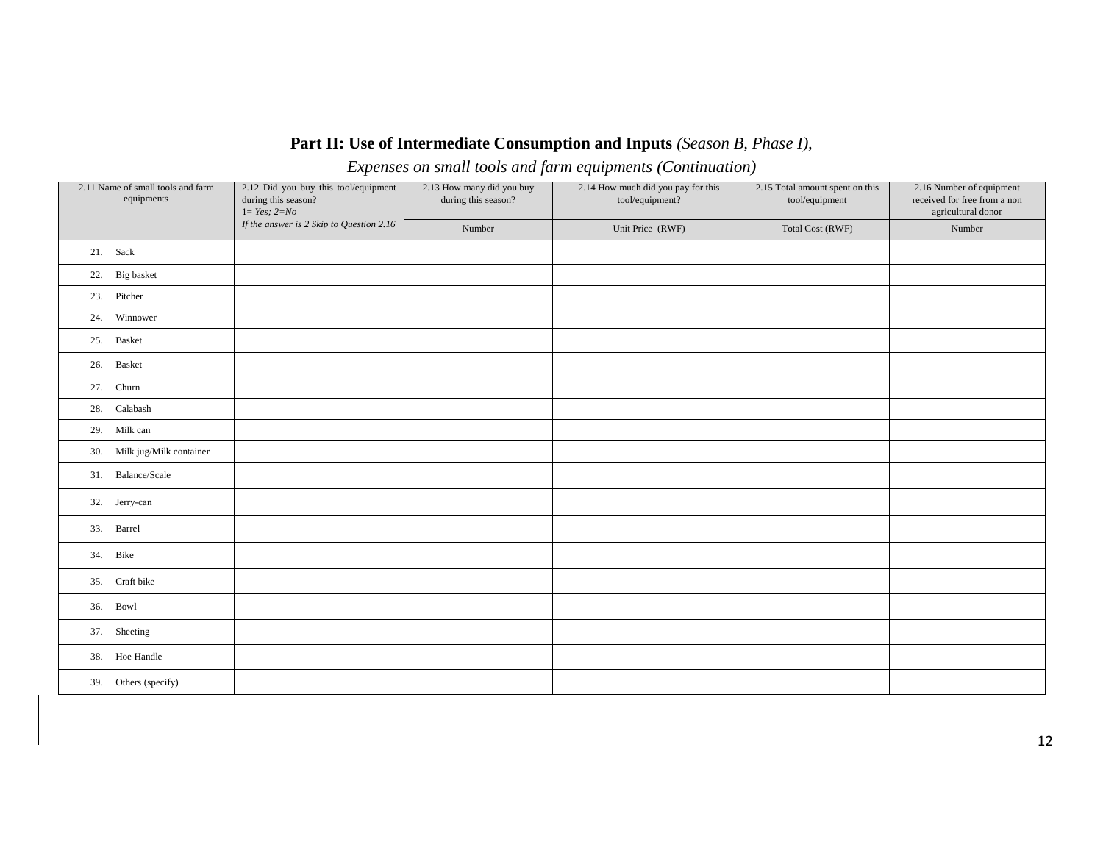## **Part II: Use of Intermediate Consumption and Inputs** *(Season B, Phase I),*

*Expenses on small tools and farm equipments (Continuation)*

| 2.11 Name of small tools and farm<br>equipments | 2.12 Did you buy this tool/equipment<br>during this season?<br>$1 = Yes; 2=No$ | 2.13 How many did you buy<br>during this season? | 2.14 How much did you pay for this<br>tool/equipment? | 2.15 Total amount spent on this<br>tool/equipment | 2.16 Number of equipment<br>received for free from a non<br>agricultural donor |
|-------------------------------------------------|--------------------------------------------------------------------------------|--------------------------------------------------|-------------------------------------------------------|---------------------------------------------------|--------------------------------------------------------------------------------|
|                                                 | If the answer is 2 Skip to Question 2.16                                       | Number                                           | Unit Price (RWF)                                      | <b>Total Cost (RWF)</b>                           | Number                                                                         |
| 21. Sack                                        |                                                                                |                                                  |                                                       |                                                   |                                                                                |
| 22. Big basket                                  |                                                                                |                                                  |                                                       |                                                   |                                                                                |
| 23. Pitcher                                     |                                                                                |                                                  |                                                       |                                                   |                                                                                |
| 24. Winnower                                    |                                                                                |                                                  |                                                       |                                                   |                                                                                |
| 25. Basket                                      |                                                                                |                                                  |                                                       |                                                   |                                                                                |
| 26. Basket                                      |                                                                                |                                                  |                                                       |                                                   |                                                                                |
| 27. Churn                                       |                                                                                |                                                  |                                                       |                                                   |                                                                                |
| 28. Calabash                                    |                                                                                |                                                  |                                                       |                                                   |                                                                                |
| 29. Milk can                                    |                                                                                |                                                  |                                                       |                                                   |                                                                                |
| 30. Milk jug/Milk container                     |                                                                                |                                                  |                                                       |                                                   |                                                                                |
| 31. Balance/Scale                               |                                                                                |                                                  |                                                       |                                                   |                                                                                |
| 32. Jerry-can                                   |                                                                                |                                                  |                                                       |                                                   |                                                                                |
| 33. Barrel                                      |                                                                                |                                                  |                                                       |                                                   |                                                                                |
| 34. Bike                                        |                                                                                |                                                  |                                                       |                                                   |                                                                                |
| 35. Craft bike                                  |                                                                                |                                                  |                                                       |                                                   |                                                                                |
| 36. Bowl                                        |                                                                                |                                                  |                                                       |                                                   |                                                                                |
| 37. Sheeting                                    |                                                                                |                                                  |                                                       |                                                   |                                                                                |
| 38. Hoe Handle                                  |                                                                                |                                                  |                                                       |                                                   |                                                                                |
| 39. Others (specify)                            |                                                                                |                                                  |                                                       |                                                   |                                                                                |